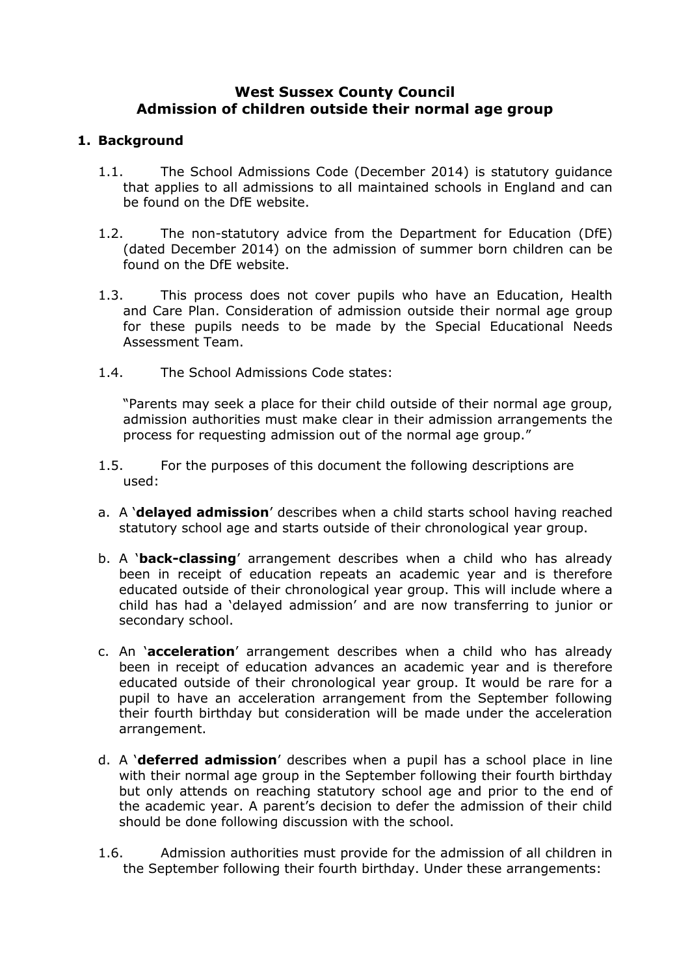## **West Sussex County Council Admission of children outside their normal age group**

#### **1. Background**

- 1.1. The School Admissions Code (December 2014) is statutory guidance that applies to all admissions to all maintained schools in England and can be found on the DfE website.
- 1.2. The non-statutory advice from the Department for Education (DfE) (dated December 2014) on the admission of summer born children can be found on the DfE website.
- 1.3. This process does not cover pupils who have an Education, Health and Care Plan. Consideration of admission outside their normal age group for these pupils needs to be made by the Special Educational Needs Assessment Team.
- 1.4. The School Admissions Code states:

"Parents may seek a place for their child outside of their normal age group, admission authorities must make clear in their admission arrangements the process for requesting admission out of the normal age group."

- 1.5. For the purposes of this document the following descriptions are used:
- a. A '**delayed admission**' describes when a child starts school having reached statutory school age and starts outside of their chronological year group.
- b. A '**back-classing**' arrangement describes when a child who has already been in receipt of education repeats an academic year and is therefore educated outside of their chronological year group. This will include where a child has had a 'delayed admission' and are now transferring to junior or secondary school.
- c. An '**acceleration**' arrangement describes when a child who has already been in receipt of education advances an academic year and is therefore educated outside of their chronological year group. It would be rare for a pupil to have an acceleration arrangement from the September following their fourth birthday but consideration will be made under the acceleration arrangement.
- d. A '**deferred admission**' describes when a pupil has a school place in line with their normal age group in the September following their fourth birthday but only attends on reaching statutory school age and prior to the end of the academic year. A parent's decision to defer the admission of their child should be done following discussion with the school.
- 1.6. Admission authorities must provide for the admission of all children in the September following their fourth birthday. Under these arrangements: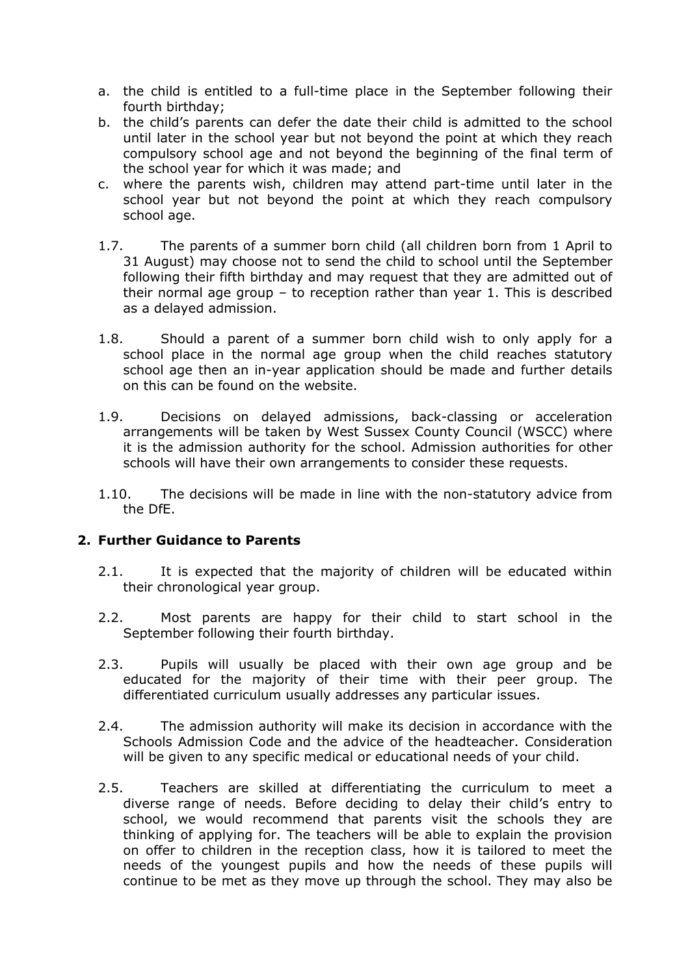- a. the child is entitled to a full-time place in the September following their fourth birthday;
- b. the child's parents can defer the date their child is admitted to the school until later in the school year but not beyond the point at which they reach compulsory school age and not beyond the beginning of the final term of the school year for which it was made; and
- c. where the parents wish, children may attend part-time until later in the school year but not beyond the point at which they reach compulsory school age.
- 1.7. The parents of a summer born child (all children born from 1 April to 31 August) may choose not to send the child to school until the September following their fifth birthday and may request that they are admitted out of their normal age group – to reception rather than year 1. This is described as a delayed admission.
- 1.8. Should a parent of a summer born child wish to only apply for a school place in the normal age group when the child reaches statutory school age then an in-year application should be made and further details on this can be found on the website.
- 1.9. Decisions on delayed admissions, back-classing or acceleration arrangements will be taken by West Sussex County Council (WSCC) where it is the admission authority for the school. Admission authorities for other schools will have their own arrangements to consider these requests.
- 1.10. The decisions will be made in line with the non-statutory advice from the DfE.

### **2. Further Guidance to Parents**

- 2.1. It is expected that the majority of children will be educated within their chronological year group.
- 2.2. Most parents are happy for their child to start school in the September following their fourth birthday.
- 2.3. Pupils will usually be placed with their own age group and be educated for the majority of their time with their peer group. The differentiated curriculum usually addresses any particular issues.
- 2.4. The admission authority will make its decision in accordance with the Schools Admission Code and the advice of the headteacher. Consideration will be given to any specific medical or educational needs of your child.
- 2.5. Teachers are skilled at differentiating the curriculum to meet a diverse range of needs. Before deciding to delay their child's entry to school, we would recommend that parents visit the schools they are thinking of applying for. The teachers will be able to explain the provision on offer to children in the reception class, how it is tailored to meet the needs of the youngest pupils and how the needs of these pupils will continue to be met as they move up through the school. They may also be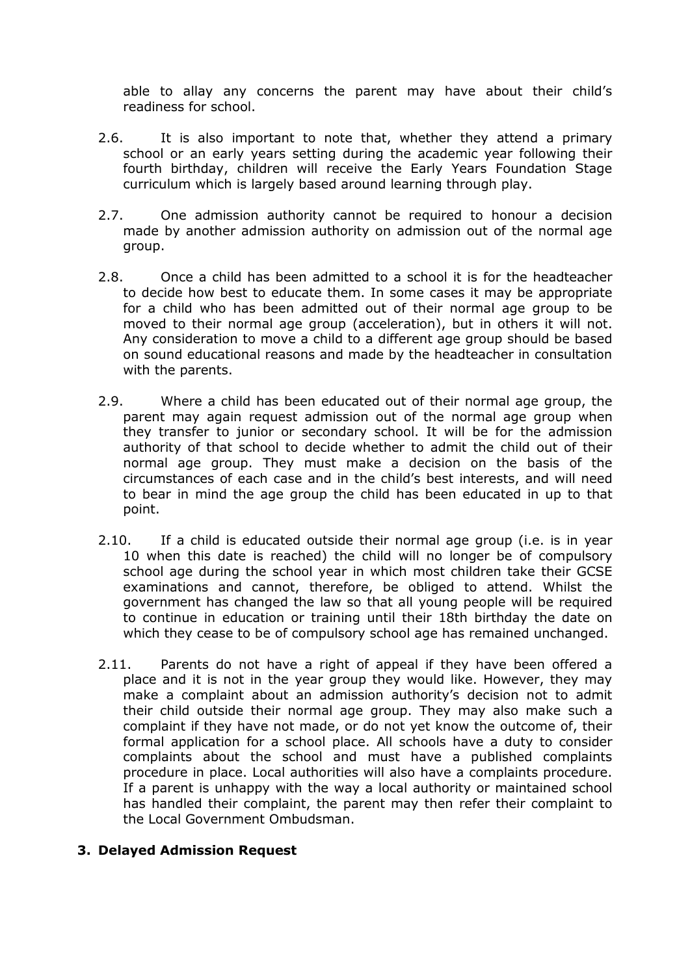able to allay any concerns the parent may have about their child's readiness for school.

- 2.6. It is also important to note that, whether they attend a primary school or an early years setting during the academic year following their fourth birthday, children will receive the Early Years Foundation Stage curriculum which is largely based around learning through play.
- 2.7. One admission authority cannot be required to honour a decision made by another admission authority on admission out of the normal age group.
- 2.8. Once a child has been admitted to a school it is for the headteacher to decide how best to educate them. In some cases it may be appropriate for a child who has been admitted out of their normal age group to be moved to their normal age group (acceleration), but in others it will not. Any consideration to move a child to a different age group should be based on sound educational reasons and made by the headteacher in consultation with the parents.
- 2.9. Where a child has been educated out of their normal age group, the parent may again request admission out of the normal age group when they transfer to junior or secondary school. It will be for the admission authority of that school to decide whether to admit the child out of their normal age group. They must make a decision on the basis of the circumstances of each case and in the child's best interests, and will need to bear in mind the age group the child has been educated in up to that point.
- 2.10. If a child is educated outside their normal age group (i.e. is in year 10 when this date is reached) the child will no longer be of compulsory school age during the school year in which most children take their GCSE examinations and cannot, therefore, be obliged to attend. Whilst the government has changed the law so that all young people will be required to continue in education or training until their 18th birthday the date on which they cease to be of compulsory school age has remained unchanged.
- 2.11. Parents do not have a right of appeal if they have been offered a place and it is not in the year group they would like. However, they may make a complaint about an admission authority's decision not to admit their child outside their normal age group. They may also make such a complaint if they have not made, or do not yet know the outcome of, their formal application for a school place. All schools have a duty to consider complaints about the school and must have a published complaints procedure in place. Local authorities will also have a complaints procedure. If a parent is unhappy with the way a local authority or maintained school has handled their complaint, the parent may then refer their complaint to the Local Government Ombudsman.

### **3. Delayed Admission Request**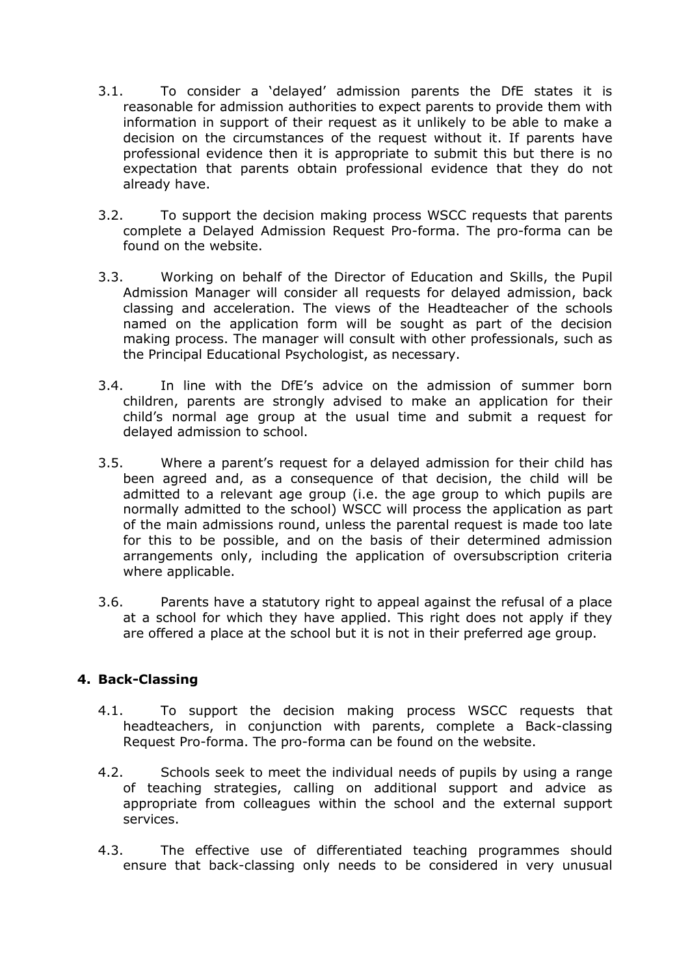- 3.1. To consider a 'delayed' admission parents the DfE states it is reasonable for admission authorities to expect parents to provide them with information in support of their request as it unlikely to be able to make a decision on the circumstances of the request without it. If parents have professional evidence then it is appropriate to submit this but there is no expectation that parents obtain professional evidence that they do not already have.
- 3.2. To support the decision making process WSCC requests that parents complete a Delayed Admission Request Pro-forma. The pro-forma can be found on the website.
- 3.3. Working on behalf of the Director of Education and Skills, the Pupil Admission Manager will consider all requests for delayed admission, back classing and acceleration. The views of the Headteacher of the schools named on the application form will be sought as part of the decision making process. The manager will consult with other professionals, such as the Principal Educational Psychologist, as necessary.
- 3.4. In line with the DfE's advice on the admission of summer born children, parents are strongly advised to make an application for their child's normal age group at the usual time and submit a request for delayed admission to school.
- 3.5. Where a parent's request for a delayed admission for their child has been agreed and, as a consequence of that decision, the child will be admitted to a relevant age group (i.e. the age group to which pupils are normally admitted to the school) WSCC will process the application as part of the main admissions round, unless the parental request is made too late for this to be possible, and on the basis of their determined admission arrangements only, including the application of oversubscription criteria where applicable.
- 3.6. Parents have a statutory right to appeal against the refusal of a place at a school for which they have applied. This right does not apply if they are offered a place at the school but it is not in their preferred age group.

### **4. Back-Classing**

- 4.1. To support the decision making process WSCC requests that headteachers, in conjunction with parents, complete a Back-classing Request Pro-forma. The pro-forma can be found on the website.
- 4.2. Schools seek to meet the individual needs of pupils by using a range of teaching strategies, calling on additional support and advice as appropriate from colleagues within the school and the external support services.
- 4.3. The effective use of differentiated teaching programmes should ensure that back-classing only needs to be considered in very unusual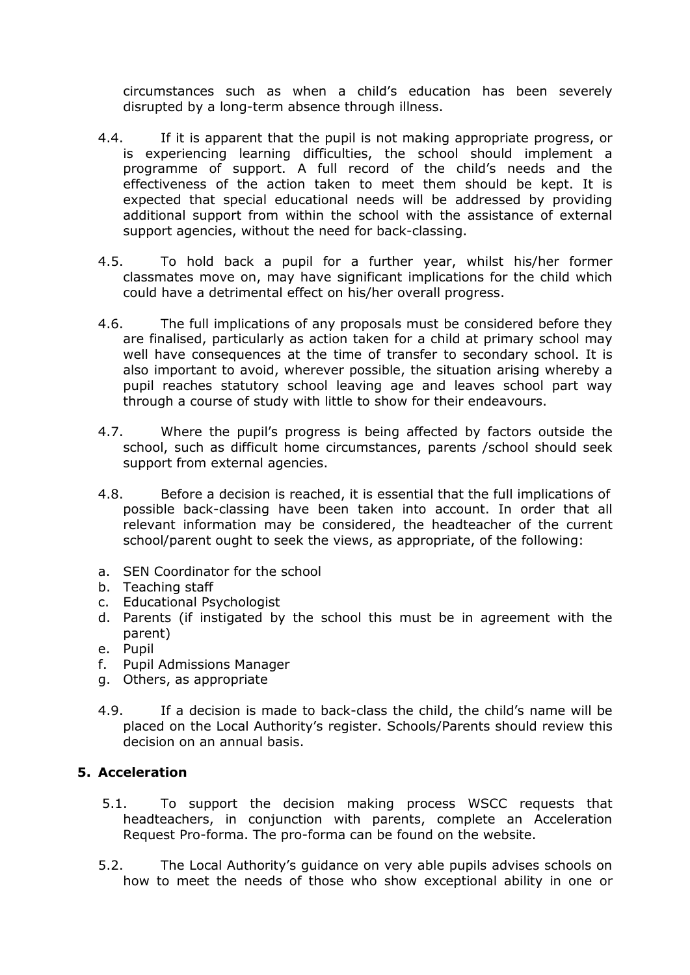circumstances such as when a child's education has been severely disrupted by a long-term absence through illness.

- 4.4. If it is apparent that the pupil is not making appropriate progress, or is experiencing learning difficulties, the school should implement a programme of support. A full record of the child's needs and the effectiveness of the action taken to meet them should be kept. It is expected that special educational needs will be addressed by providing additional support from within the school with the assistance of external support agencies, without the need for back-classing.
- 4.5. To hold back a pupil for a further year, whilst his/her former classmates move on, may have significant implications for the child which could have a detrimental effect on his/her overall progress.
- 4.6. The full implications of any proposals must be considered before they are finalised, particularly as action taken for a child at primary school may well have consequences at the time of transfer to secondary school. It is also important to avoid, wherever possible, the situation arising whereby a pupil reaches statutory school leaving age and leaves school part way through a course of study with little to show for their endeavours.
- 4.7. Where the pupil's progress is being affected by factors outside the school, such as difficult home circumstances, parents /school should seek support from external agencies.
- 4.8. Before a decision is reached, it is essential that the full implications of possible back-classing have been taken into account. In order that all relevant information may be considered, the headteacher of the current school/parent ought to seek the views, as appropriate, of the following:
- a. SEN Coordinator for the school
- b. Teaching staff
- c. Educational Psychologist
- d. Parents (if instigated by the school this must be in agreement with the parent)
- e. Pupil
- f. Pupil Admissions Manager
- g. Others, as appropriate
- 4.9. If a decision is made to back-class the child, the child's name will be placed on the Local Authority's register. Schools/Parents should review this decision on an annual basis.

# **5. Acceleration**

- 5.1. To support the decision making process WSCC requests that headteachers, in conjunction with parents, complete an Acceleration Request Pro-forma. The pro-forma can be found on the website.
- 5.2. The Local Authority's guidance on very able pupils advises schools on how to meet the needs of those who show exceptional ability in one or